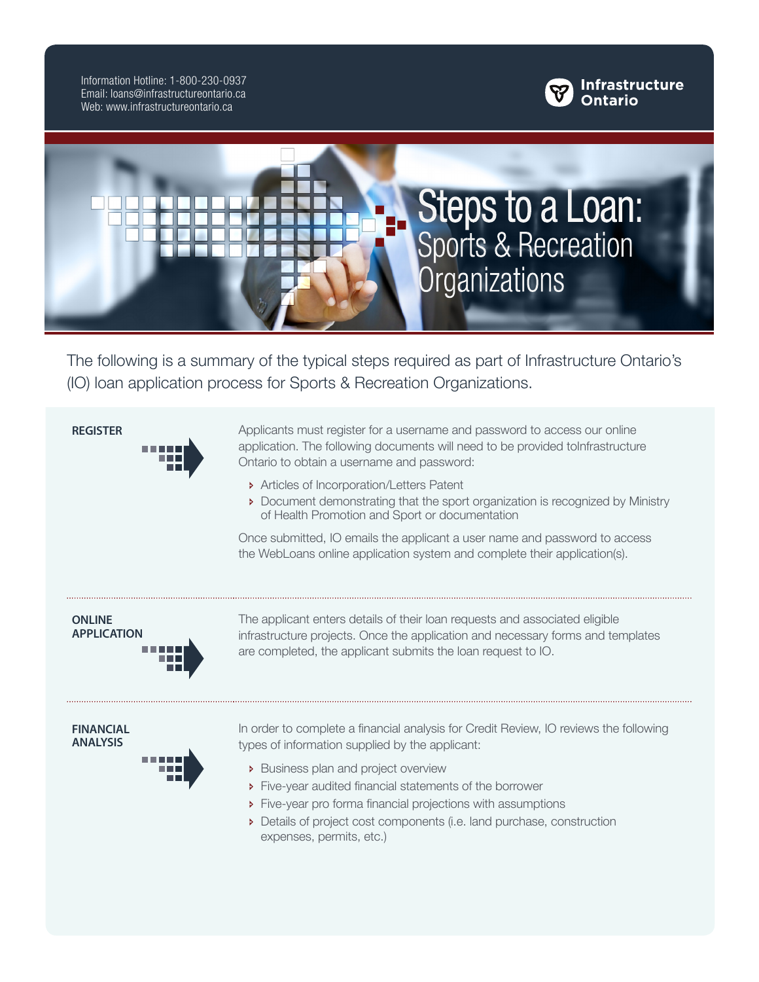Information Hotline: 1-800-230-0937 Email: loans@infrastructureontario.ca Web: www.infrastructureontario.ca





The following is a summary of the typical steps required as part of Infrastructure Ontario's (IO) loan application process for Sports & Recreation Organizations.